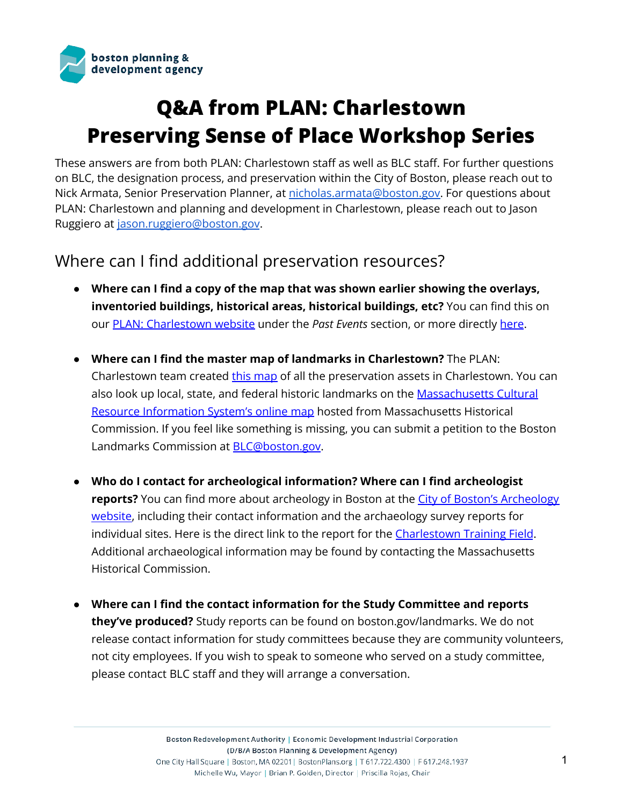

# **Q&A from PLAN: Charlestown Preserving Sense of Place Workshop Series**

These answers are from both PLAN: Charlestown staff as well as BLC staff. For further questions on BLC, the designation process, and preservation within the City of Boston, please reach out to Nick Armata, Senior Preservation Planner, at [nicholas.armata@boston.gov.](mailto:nicholas.armata@boston.gov) For questions about PLAN: Charlestown and planning and development in Charlestown, please reach out to Jason Ruggiero at [jason.ruggiero@boston.gov](mailto:jason.ruggiero@boston.gov).

# Where can I find additional preservation resources?

- **● Where can I find a copy of the map that was shown earlier showing the overlays, inventoried buildings, historical areas, historical buildings, etc?** You can find this on our PLAN: [Charlestown](http://www.bostonplans.org/planning/planning-initiatives/plan-charlestown) website under the *Past Events* section, or more directly [here](https://bpda.app.box.com/file/917700885485?s=ic1pgsrp94k7crkrvx0d0f180yjoel9t).
- **Where can I find the master map of landmarks in Charlestown?** The PLAN: Charlestown team created this [map](https://bpda.app.box.com/file/917700885485?s=ic1pgsrp94k7crkrvx0d0f180yjoel9t) of all the preservation assets in Charlestown. You can also look up local, state, and federal historic landmarks on the [Massachusetts](https://maps.mhc-macris.net/) Cultural Resource [Information](https://maps.mhc-macris.net/) System's online map hosted from Massachusetts Historical Commission. If you feel like something is missing, you can submit a petition to the Boston Landmarks Commission at **[BLC@boston.gov](mailto:BLC@boston.gov).**
- **Who do I contact for archeological information? Where can I find archeologist reports?** You can find more about archeology in Boston at the *City of Boston's [Archeology](https://www.boston.gov/departments/archaeology)* [website,](https://www.boston.gov/departments/archaeology) including their contact information and the archaeology survey reports for individual sites. Here is the direct link to the report for the [Charlestown](https://www.boston.gov/sites/default/files/file/document_files/2016/11/training_field_technical_report.pdf) Training Field. Additional archaeological information may be found by contacting the Massachusetts Historical Commission.
- **Where can I find the contact information for the Study Committee and reports they've produced?** Study reports can be found on boston.gov/landmarks. We do not release contact information for study committees because they are community volunteers, not city employees. If you wish to speak to someone who served on a study committee, please contact BLC staff and they will arrange a conversation.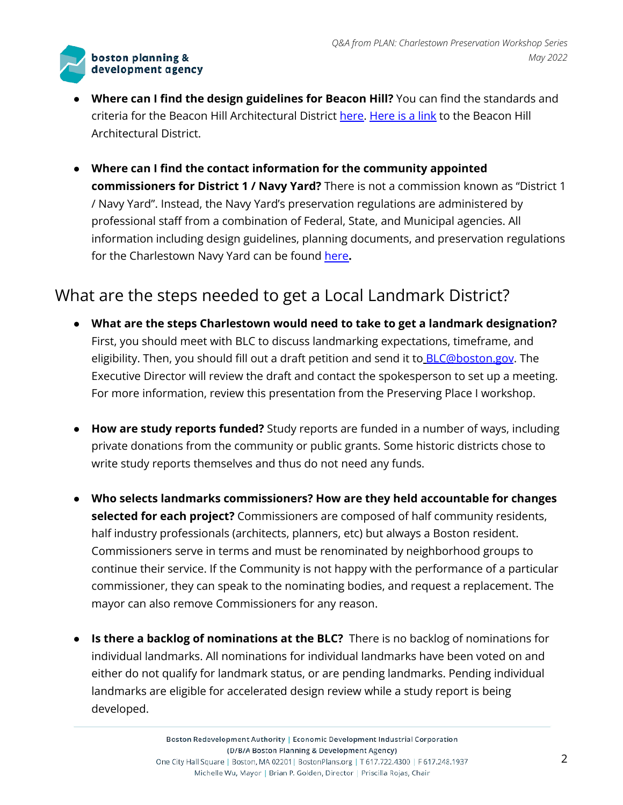

- **Where can I find the design guidelines for Beacon Hill?** You can find the standards and criteria for the Beacon Hill Architectural District [here.](https://www.cityofboston.gov/images_documents/Beacon%20Hill%20Architectural%20Commission%20Guidelines_tcm3-17489.pdf) [Here](https://www.boston.gov/historic-district/beacon-hill-architectural-district) is a link to the Beacon Hill Architectural District.
- **● Where can I find the contact information for the community appointed commissioners for District 1 / Navy Yard?** There is not a commission known as "District 1 / Navy Yard". Instead, the Navy Yard's preservation regulations are administered by professional staff from a combination of Federal, State, and Municipal agencies. All information including design guidelines, planning documents, and preservation regulations for the Charlestown Navy Yard can be found [here](http://www.bostonplans.org/neighborhoods/charlestown/navy-yard-master-plan-implementation).

# What are the steps needed to get a Local Landmark District?

- **What are the steps Charlestown would need to take to get a landmark designation?** First, you should meet with BLC to discuss landmarking expectations, timeframe, and eligibility. Then, you should fill out a draft petition and send it to **[BLC@boston.gov](mailto:BLC@boston.gov)**. The Executive Director will review the draft and contact the spokesperson to set up a meeting. For more information, review this presentation from the Preserving Place I workshop.
- **● How are study reports funded?** Study reports are funded in a number of ways, including private donations from the community or public grants. Some historic districts chose to write study reports themselves and thus do not need any funds.
- **Who selects landmarks commissioners? How are they held accountable for changes selected for each project?** Commissioners are composed of half community residents, half industry professionals (architects, planners, etc) but always a Boston resident. Commissioners serve in terms and must be renominated by neighborhood groups to continue their service. If the Community is not happy with the performance of a particular commissioner, they can speak to the nominating bodies, and request a replacement. The mayor can also remove Commissioners for any reason.
- **● Is there a backlog of nominations at the BLC?** There is no backlog of nominations for individual landmarks. All nominations for individual landmarks have been voted on and either do not qualify for landmark status, or are pending landmarks. Pending individual landmarks are eligible for accelerated design review while a study report is being developed.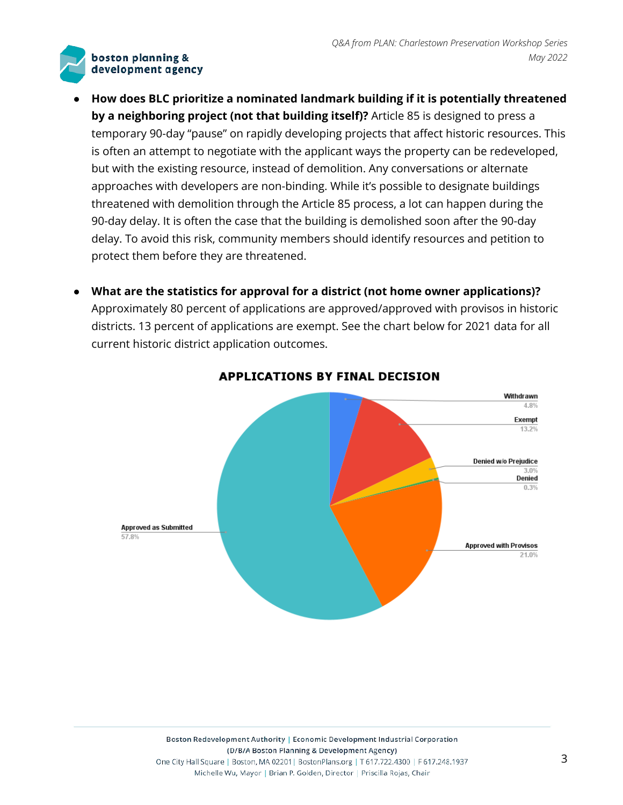- **● How does BLC prioritize a nominated landmark building if it is potentially threatened by a neighboring project (not that building itself)?** Article 85 is designed to press a temporary 90-day "pause" on rapidly developing projects that affect historic resources. This is often an attempt to negotiate with the applicant ways the property can be redeveloped, but with the existing resource, instead of demolition. Any conversations or alternate approaches with developers are non-binding. While it's possible to designate buildings threatened with demolition through the Article 85 process, a lot can happen during the 90-day delay. It is often the case that the building is demolished soon after the 90-day delay. To avoid this risk, community members should identify resources and petition to protect them before they are threatened.
- **● What are the statistics for approval for a district (not home owner applications)?** Approximately 80 percent of applications are approved/approved with provisos in historic districts. 13 percent of applications are exempt. See the chart below for 2021 data for all current historic district application outcomes.



**APPLICATIONS BY FINAL DECISION**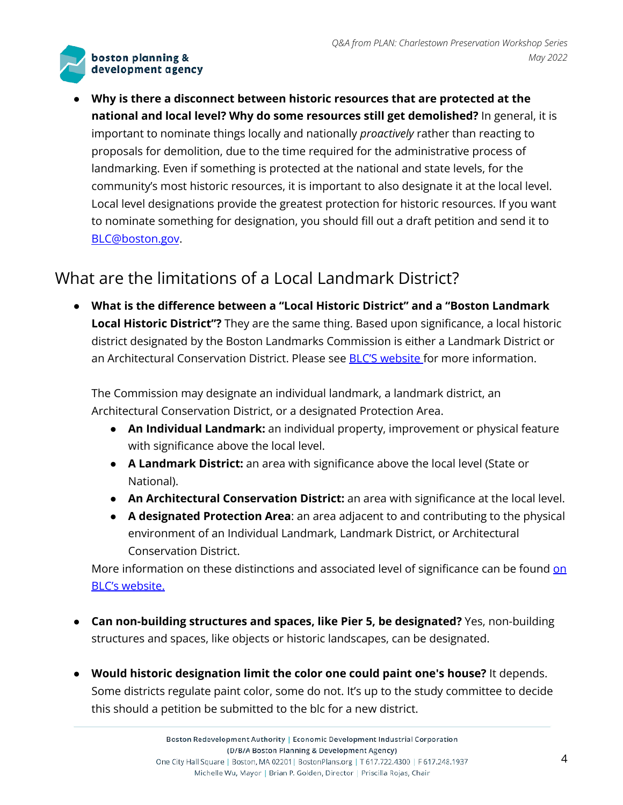**● Why is there a disconnect between historic resources that are protected at the national and local level? Why do some resources still get demolished?** In general, it is important to nominate things locally and nationally *proactively* rather than reacting to proposals for demolition, due to the time required for the administrative process of landmarking. Even if something is protected at the national and state levels, for the community's most historic resources, it is important to also designate it at the local level. Local level designations provide the greatest protection for historic resources. If you want to nominate something for designation, you should fill out a draft petition and send it to [BLC@boston.gov](mailto:BLC@boston.gov).

# What are the limitations of a Local Landmark District?

**● What is the difference between a "Local Historic District" and a "Boston Landmark Local Historic District"?** They are the same thing. Based upon significance, a local historic district designated by the Boston Landmarks Commission is either a Landmark District or an Architectural Conservation District. Please see **BLC'S [website](http://www.boston.gov/departments/landmarks-commission/designating-landmarks-boston)** for more information.

The Commission may designate an individual landmark, a landmark district, an Architectural Conservation District, or a designated Protection Area.

- **An Individual Landmark:** an individual property, improvement or physical feature with significance above the local level.
- **A Landmark District:** an area with significance above the local level (State or National).
- **An Architectural Conservation District:** an area with significance at the local level.
- **A designated Protection Area**: an area adjacent to and contributing to the physical environment of an Individual Landmark, Landmark District, or Architectural Conservation District.

More informati[on](https://www.boston.gov/departments/landmarks-commission/designating-landmarks-boston) on these distinctions and associated level of significance can be found on BLC's [website.](https://www.boston.gov/departments/landmarks-commission/designating-landmarks-boston)

- **● Can non-building structures and spaces, like Pier 5, be designated?** Yes, non-building structures and spaces, like objects or historic landscapes, can be designated.
- **● Would historic designation limit the color one could paint one's house?** It depends. Some districts regulate paint color, some do not. It's up to the study committee to decide this should a petition be submitted to the blc for a new district.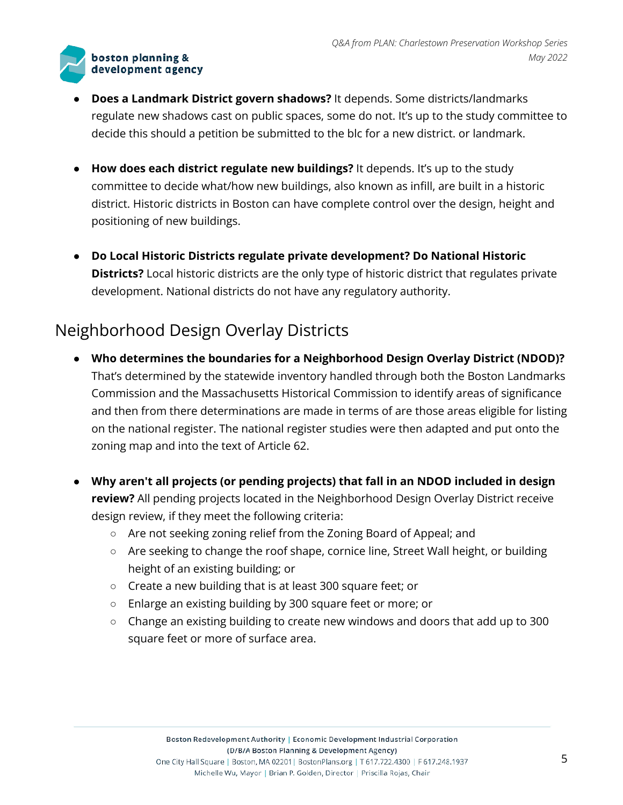

- **● Does a Landmark District govern shadows?** It depends. Some districts/landmarks regulate new shadows cast on public spaces, some do not. It's up to the study committee to decide this should a petition be submitted to the blc for a new district. or landmark.
- **● How does each district regulate new buildings?** It depends. It's up to the study committee to decide what/how new buildings, also known as infill, are built in a historic district. Historic districts in Boston can have complete control over the design, height and positioning of new buildings.
- **● Do Local Historic Districts regulate private development? Do National Historic Districts?** Local historic districts are the only type of historic district that regulates private development. National districts do not have any regulatory authority.

# Neighborhood Design Overlay Districts

- **● Who determines the boundaries for a Neighborhood Design Overlay District (NDOD)?** That's determined by the statewide inventory handled through both the Boston Landmarks Commission and the Massachusetts Historical Commission to identify areas of significance and then from there determinations are made in terms of are those areas eligible for listing on the national register. The national register studies were then adapted and put onto the zoning map and into the text of Article 62.
- **● Why aren't all projects (or pending projects) that fall in an NDOD included in design review?** All pending projects located in the Neighborhood Design Overlay District receive design review, if they meet the following criteria:
	- Are not seeking zoning relief from the Zoning Board of Appeal; and
	- Are seeking to change the roof shape, cornice line, Street Wall height, or building height of an existing building; or
	- Create a new building that is at least 300 square feet; or
	- Enlarge an existing building by 300 square feet or more; or
	- Change an existing building to create new windows and doors that add up to 300 square feet or more of surface area.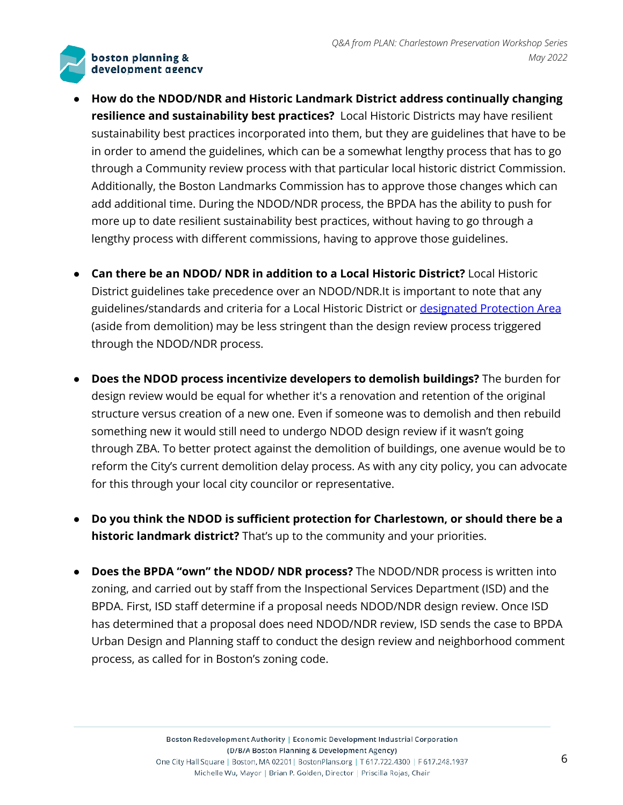- **● How do the NDOD/NDR and Historic Landmark District address continually changing resilience and sustainability best practices?** Local Historic Districts may have resilient sustainability best practices incorporated into them, but they are guidelines that have to be in order to amend the guidelines, which can be a somewhat lengthy process that has to go through a Community review process with that particular local historic district Commission. Additionally, the Boston Landmarks Commission has to approve those changes which can add additional time. During the NDOD/NDR process, the BPDA has the ability to push for more up to date resilient sustainability best practices, without having to go through a lengthy process with different commissions, having to approve those guidelines.
- **● Can there be an NDOD/ NDR in addition to a Local Historic District?** Local Historic District guidelines take precedence over an NDOD/NDR.It is important to note that any guidelines/standards and criteria for a Local Historic District or [designated](https://www.boston.gov/departments/landmarks-commission/designating-landmarks-boston) Protection Area (aside from demolition) may be less stringent than the design review process triggered through the NDOD/NDR process.
- **● Does the NDOD process incentivize developers to demolish buildings?** The burden for design review would be equal for whether it's a renovation and retention of the original structure versus creation of a new one. Even if someone was to demolish and then rebuild something new it would still need to undergo NDOD design review if it wasn't going through ZBA. To better protect against the demolition of buildings, one avenue would be to reform the City's current demolition delay process. As with any city policy, you can advocate for this through your local city councilor or representative.
- **● Do you think the NDOD is sufficient protection for Charlestown, or should there be a historic landmark district?** That's up to the community and your priorities.
- **● Does the BPDA "own" the NDOD/ NDR process?** The NDOD/NDR process is written into zoning, and carried out by staff from the Inspectional Services Department (ISD) and the BPDA. First, ISD staff determine if a proposal needs NDOD/NDR design review. Once ISD has determined that a proposal does need NDOD/NDR review, ISD sends the case to BPDA Urban Design and Planning staff to conduct the design review and neighborhood comment process, as called for in Boston's zoning code.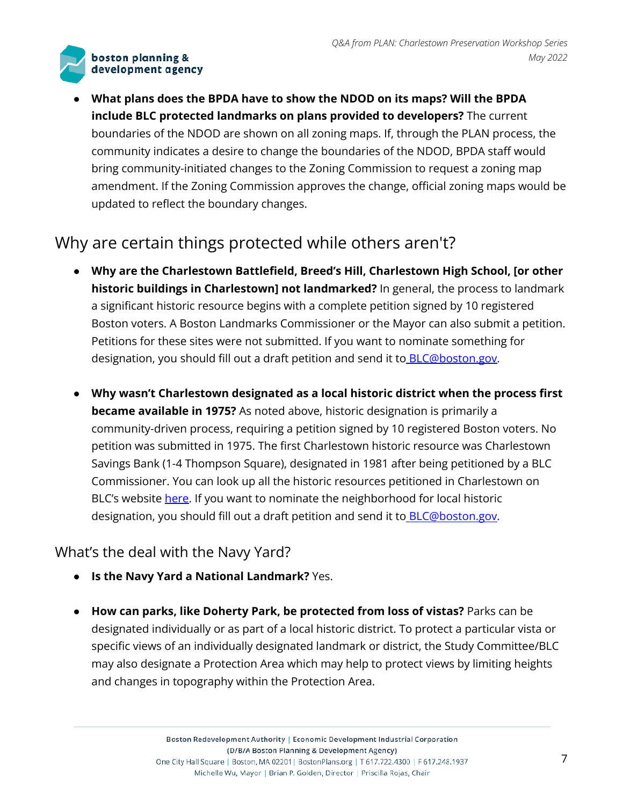**● What plans does the BPDA have to show the NDOD on its maps? Will the BPDA include BLC protected landmarks on plans provided to developers?** The current boundaries of the NDOD are shown on all zoning maps. If, through the PLAN process, the community indicates a desire to change the boundaries of the NDOD, BPDA staff would bring community-initiated changes to the Zoning Commission to request a zoning map amendment. If the Zoning Commission approves the change, official zoning maps would be updated to reflect the boundary changes.

# Why are certain things protected while others aren't?

- **● Why are the Charlestown Battlefield, Breed's Hill, Charlestown High School, [or other historic buildings in Charlestown] not landmarked?** In general, the process to landmark a significant historic resource begins with a complete petition signed by 10 registered Boston voters. A Boston Landmarks Commissioner or the Mayor can also submit a petition. Petitions for these sites were not submitted. If you want to nominate something for designation, you should fill out a draft petition and send it to **BLC@boston.gov**.
- **● Why wasn't Charlestown designated as a local historic district when the process first became available in 1975?** As noted above, historic designation is primarily a community-driven process, requiring a petition signed by 10 registered Boston voters. No petition was submitted in 1975. The first Charlestown historic resource was Charlestown Savings Bank (1-4 Thompson Square), designated in 1981 after being petitioned by a BLC Commissioner. You can look up all the historic resources petitioned in Charlestown on BLC's website [here.](https://www.boston.gov/sites/default/files/file/2021/08/BLC%20Landmarks%20Petitions%20as%20of%20May%202021_0.pdf) If you want to nominate the neighborhood for local historic designation, you should fill out a draft petition and send it to **[BLC@boston.gov.](mailto:BLC@boston.gov)**

### What's the deal with the Navy Yard?

- **● Is the Navy Yard a National Landmark?** Yes.
- **● How can parks, like Doherty Park, be protected from loss of vistas?** Parks can be designated individually or as part of a local historic district. To protect a particular vista or specific views of an individually designated landmark or district, the Study Committee/BLC may also designate a Protection Area which may help to protect views by limiting heights and changes in topography within the Protection Area.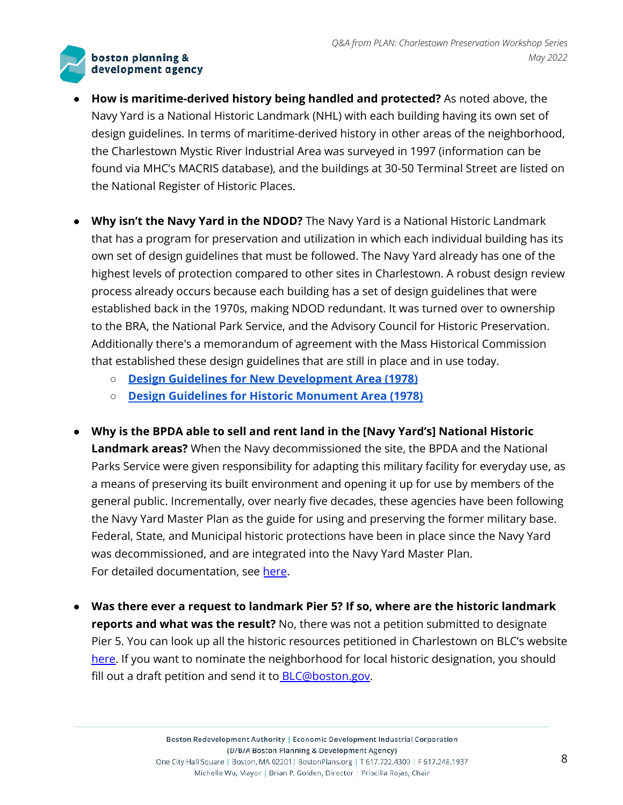- **● How is maritime-derived history being handled and protected?** As noted above, the Navy Yard is a National Historic Landmark (NHL) with each building having its own set of design guidelines. In terms of maritime-derived history in other areas of the neighborhood, the Charlestown Mystic River Industrial Area was surveyed in 1997 (information can be found via MHC's MACRIS database), and the buildings at 30-50 Terminal Street are listed on the National Register of Historic Places.
- **● Why isn't the Navy Yard in the NDOD?** The Navy Yard is a National Historic Landmark that has a program for preservation and utilization in which each individual building has its own set of design guidelines that must be followed. The Navy Yard already has one of the highest levels of protection compared to other sites in Charlestown. A robust design review process already occurs because each building has a set of design guidelines that were established back in the 1970s, making NDOD redundant. It was turned over to ownership to the BRA, the National Park Service, and the Advisory Council for Historic Preservation. Additionally there's a memorandum of agreement with the Mass Historical Commission that established these design guidelines that are still in place and in use today.
	- **○ Design Guidelines for New [Development](http://www.bostonplans.org/neighborhoods/charlestown/navy-yard-master-plan-implementation/1978-design-guidelines-new-development-area-boston) Area (1978)**
	- **○ Design Guidelines for Historic [Monument](http://www.bostonplans.org/neighborhoods/charlestown/navy-yard-master-plan-implementation/1978-design-guidelines-historic-monument-area-bost) Area (1978)**
- **● Why is the BPDA able to sell and rent land in the [Navy Yard's] National Historic Landmark areas?** When the Navy decommissioned the site, the BPDA and the National Parks Service were given responsibility for adapting this military facility for everyday use, as a means of preserving its built environment and opening it up for use by members of the general public. Incrementally, over nearly five decades, these agencies have been following the Navy Yard Master Plan as the guide for using and preserving the former military base. Federal, State, and Municipal historic protections have been in place since the Navy Yard was decommissioned, and are integrated into the Navy Yard Master Plan. For detailed documentation, see [here](http://www.bostonplans.org/neighborhoods/charlestown/navy-yard-master-plan-implementation).
- **● Was there ever a request to landmark Pier 5? If so, where are the historic landmark reports and what was the result?** No, there was not a petition submitted to designate Pier 5. You can look up all the historic resources petitioned in Charlestown on BLC's website [here.](https://www.boston.gov/sites/default/files/file/2021/08/BLC%20Landmarks%20Petitions%20as%20of%20May%202021_0.pdf) If you want to nominate the neighborhood for local historic designation, you should fill out a draft petition and send it to **BLC@boston.gov**.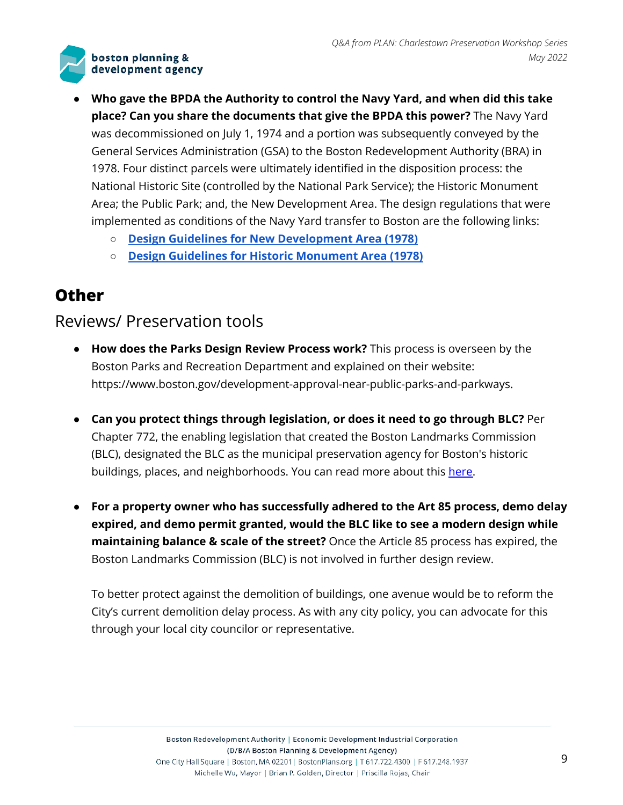- **● Who gave the BPDA the Authority to control the Navy Yard, and when did this take place? Can you share the documents that give the BPDA this power?** The Navy Yard was decommissioned on July 1, 1974 and a portion was subsequently conveyed by the General Services Administration (GSA) to the Boston Redevelopment Authority (BRA) in 1978. Four distinct parcels were ultimately identified in the disposition process: the National Historic Site (controlled by the National Park Service); the Historic Monument Area; the Public Park; and, the New Development Area. The design regulations that were implemented as conditions of the Navy Yard transfer to Boston are the following links:
	- **○ Design Guidelines for New [Development](http://www.bostonplans.org/neighborhoods/charlestown/navy-yard-master-plan-implementation/1978-design-guidelines-new-development-area-boston) Area (1978)**
	- **○ Design Guidelines for Historic [Monument](http://www.bostonplans.org/neighborhoods/charlestown/navy-yard-master-plan-implementation/1978-design-guidelines-historic-monument-area-bost) Area (1978)**

### **Other**

### Reviews/ Preservation tools

- **● How does the Parks Design Review Process work?** This process is overseen by the Boston Parks and Recreation Department and explained on their website: https://www.boston.gov/development-approval-near-public-parks-and-parkways.
- **● Can you protect things through legislation, or does it need to go through BLC?** Per Chapter 772, the enabling legislation that created the Boston Landmarks Commission (BLC), designated the BLC as the municipal preservation agency for Boston's historic buildings, places, and neighborhoods. You can read more about this [here.](https://www.cityofboston.gov/landmarks/about/)
- **● For a property owner who has successfully adhered to the Art 85 process, demo delay expired, and demo permit granted, would the BLC like to see a modern design while maintaining balance & scale of the street?** Once the Article 85 process has expired, the Boston Landmarks Commission (BLC) is not involved in further design review.

To better protect against the demolition of buildings, one avenue would be to reform the City's current demolition delay process. As with any city policy, you can advocate for this through your local city councilor or representative.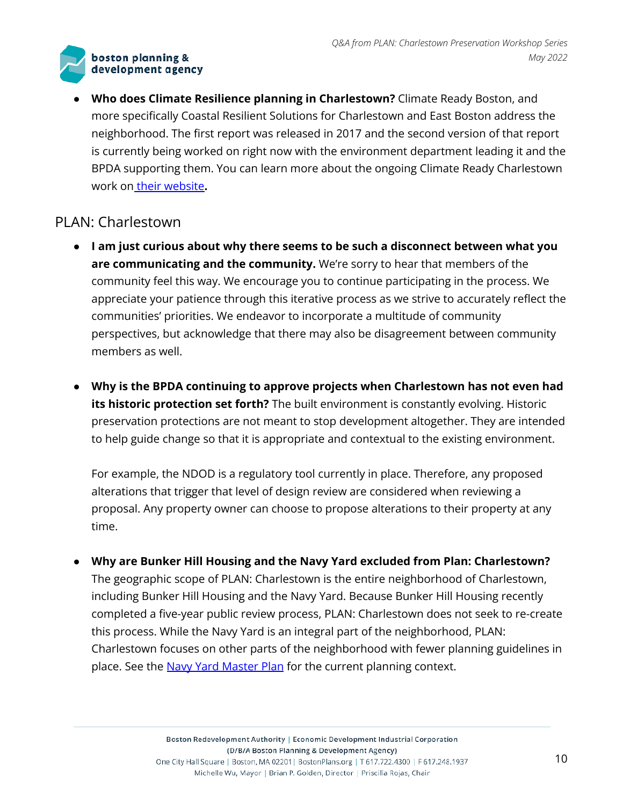**● Who does Climate Resilience planning in Charlestown?** Climate Ready Boston, and more specifically Coastal Resilient Solutions for Charlestown and East Boston address the neighborhood. The first report was released in 2017 and the second version of that report is currently being worked on right now with the environment department leading it and the BPDA supporting them. You can learn more about the ongoing Climate Ready Charlestown work on their [website](https://www.boston.gov/departments/environment/climate-ready-charlestown)**.**

### PLAN: Charlestown

- **● I am just curious about why there seems to be such a disconnect between what you are communicating and the community.** We're sorry to hear that members of the community feel this way. We encourage you to continue participating in the process. We appreciate your patience through this iterative process as we strive to accurately reflect the communities' priorities. We endeavor to incorporate a multitude of community perspectives, but acknowledge that there may also be disagreement between community members as well.
- **● Why is the BPDA continuing to approve projects when Charlestown has not even had its historic protection set forth?** The built environment is constantly evolving. Historic preservation protections are not meant to stop development altogether. They are intended to help guide change so that it is appropriate and contextual to the existing environment.

For example, the NDOD is a regulatory tool currently in place. Therefore, any proposed alterations that trigger that level of design review are considered when reviewing a proposal. Any property owner can choose to propose alterations to their property at any time.

**● Why are Bunker Hill Housing and the Navy Yard excluded from Plan: Charlestown?** The geographic scope of PLAN: Charlestown is the entire neighborhood of Charlestown, including Bunker Hill Housing and the Navy Yard. Because Bunker Hill Housing recently completed a five-year public review process, PLAN: Charlestown does not seek to re-create this process. While the Navy Yard is an integral part of the neighborhood, PLAN: Charlestown focuses on other parts of the neighborhood with fewer planning guidelines in place. See the Navy Yard [Master](http://www.bostonplans.org/neighborhoods/charlestown/navy-yard-master-plan-implementation) Plan for the current planning context.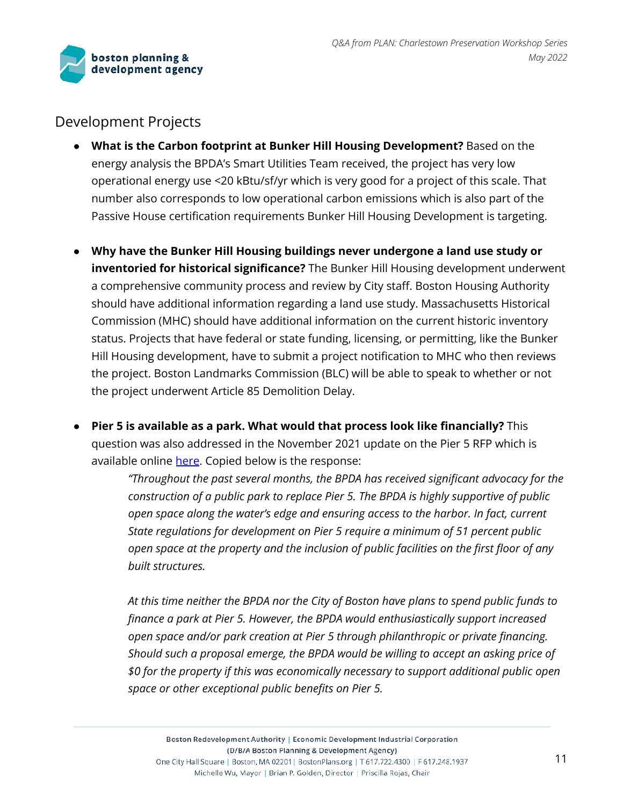

### Development Projects

- **What is the Carbon footprint at Bunker Hill Housing Development?** Based on the energy analysis the BPDA's Smart Utilities Team received, the project has very low operational energy use <20 kBtu/sf/yr which is very good for a project of this scale. That number also corresponds to low operational carbon emissions which is also part of the Passive House certification requirements Bunker Hill Housing Development is targeting.
- **● Why have the Bunker Hill Housing buildings never undergone a land use study or inventoried for historical significance?** The Bunker Hill Housing development underwent a comprehensive community process and review by City staff. Boston Housing Authority should have additional information regarding a land use study. Massachusetts Historical Commission (MHC) should have additional information on the current historic inventory status. Projects that have federal or state funding, licensing, or permitting, like the Bunker Hill Housing development, have to submit a project notification to MHC who then reviews the project. Boston Landmarks Commission (BLC) will be able to speak to whether or not the project underwent Article 85 Demolition Delay.
- **● Pier 5 is available as a park. What would that process look like financially?** This question was also addressed in the November 2021 update on the Pier 5 RFP which is available online [here](http://www.bostonplans.org/getattachment/08d651c5-92c4-49e9-b856-85bf7432512e). Copied below is the response:

*"Throughout the past several months, the BPDA has received significant advocacy for the construction of a public park to replace Pier 5. The BPDA is highly supportive of public open space along the water's edge and ensuring access to the harbor. In fact, current State regulations for development on Pier 5 require a minimum of 51 percent public open space at the property and the inclusion of public facilities on the first floor of any built structures.*

*At this time neither the BPDA nor the City of Boston have plans to spend public funds to finance a park at Pier 5. However, the BPDA would enthusiastically support increased open space and/or park creation at Pier 5 through philanthropic or private financing. Should such a proposal emerge, the BPDA would be willing to accept an asking price of \$0 for the property if this was economically necessary to support additional public open space or other exceptional public benefits on Pier 5.*